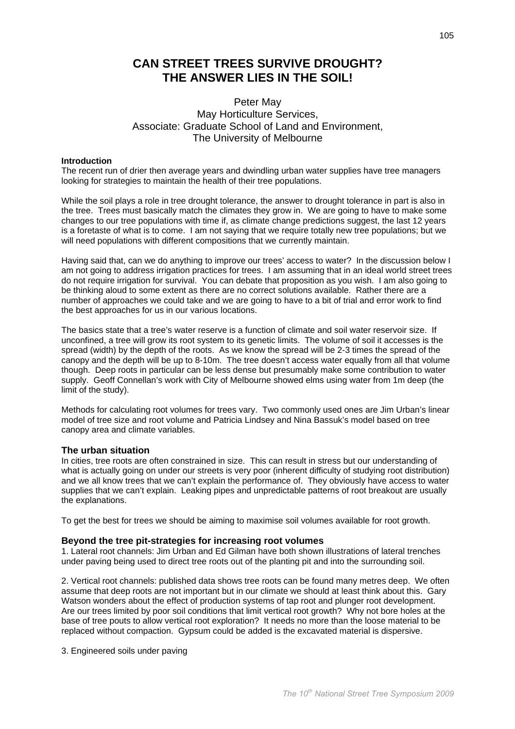# **CAN STREET TREES SURVIVE DROUGHT?** THE ANSWER LIES IN THE SOIL!

## Peter May May Horticulture Services. Associate: Graduate School of Land and Environment, The University of Melbourne

## **Introduction**

The recent run of drier then average years and dwindling urban water supplies have tree managers looking for strategies to maintain the health of their tree populations.

While the soil plays a role in tree drought tolerance, the answer to drought tolerance in part is also in the tree. Trees must basically match the climates they grow in. We are going to have to make some changes to our tree populations with time if, as climate change predictions suggest, the last 12 years is a foretaste of what is to come. I am not saying that we require totally new tree populations; but we will need populations with different compositions that we currently maintain.

Having said that, can we do anything to improve our trees' access to water? In the discussion below I am not going to address irrigation practices for trees. I am assuming that in an ideal world street trees do not require irrigation for survival. You can debate that proposition as you wish. I am also going to be thinking aloud to some extent as there are no correct solutions available. Rather there are a number of approaches we could take and we are going to have to a bit of trial and error work to find the best approaches for us in our various locations.

The basics state that a tree's water reserve is a function of climate and soil water reservoir size. If unconfined, a tree will grow its root system to its genetic limits. The volume of soil it accesses is the spread (width) by the depth of the roots. As we know the spread will be 2-3 times the spread of the canopy and the depth will be up to 8-10m. The tree doesn't access water equally from all that volume though. Deep roots in particular can be less dense but presumably make some contribution to water supply. Geoff Connellan's work with City of Melbourne showed elms using water from 1m deep (the limit of the study).

Methods for calculating root volumes for trees vary. Two commonly used ones are Jim Urban's linear model of tree size and root volume and Patricia Lindsey and Nina Bassuk's model based on tree canopy area and climate variables.

## The urban situation

In cities, tree roots are often constrained in size. This can result in stress but our understanding of what is actually going on under our streets is very poor (inherent difficulty of studying root distribution) and we all know trees that we can't explain the performance of. They obviously have access to water supplies that we can't explain. Leaking pipes and unpredictable patterns of root breakout are usually the explanations.

To get the best for trees we should be aiming to maximise soil volumes available for root growth.

## Bevond the tree pit-strategies for increasing root volumes

1. Lateral root channels: Jim Urban and Ed Gilman have both shown illustrations of lateral trenches under paving being used to direct tree roots out of the planting pit and into the surrounding soil.

2. Vertical root channels: published data shows tree roots can be found many metres deep. We often assume that deep roots are not important but in our climate we should at least think about this. Gary Watson wonders about the effect of production systems of tap root and plunger root development. Are our trees limited by poor soil conditions that limit vertical root growth? Why not bore holes at the base of tree pouts to allow vertical root exploration? It needs no more than the loose material to be replaced without compaction. Gypsum could be added is the excavated material is dispersive.

3. Engineered soils under paving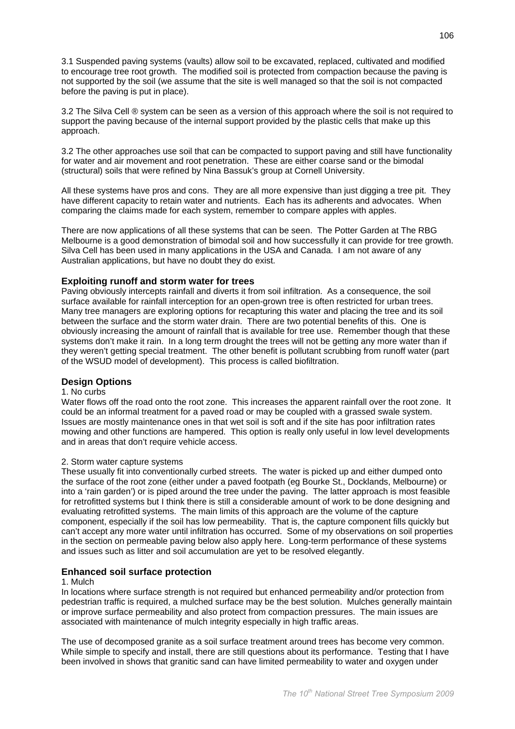3.1 Suspended paving systems (vaults) allow soil to be excavated, replaced, cultivated and modified to encourage tree root growth. The modified soil is protected from compaction because the paving is not supported by the soil (we assume that the site is well managed so that the soil is not compacted before the paving is put in place).

3.2 The Silva Cell ® system can be seen as a version of this approach where the soil is not required to support the paying because of the internal support provided by the plastic cells that make up this approach.

3.2 The other approaches use soil that can be compacted to support paying and still have functionality for water and air movement and root penetration. These are either coarse sand or the bimodal (structural) soils that were refined by Nina Bassuk's group at Cornell University.

All these systems have pros and cons. They are all more expensive than just digging a tree pit. They have different capacity to retain water and nutrients. Each has its adherents and advocates. When comparing the claims made for each system, remember to compare apples with apples.

There are now applications of all these systems that can be seen. The Potter Garden at The RBG Melbourne is a good demonstration of bimodal soil and how successfully it can provide for tree growth. Silva Cell has been used in many applications in the USA and Canada. I am not aware of any Australian applications, but have no doubt they do exist.

## Exploiting runoff and storm water for trees

Paving obviously intercepts rainfall and diverts it from soil infiltration. As a consequence, the soil surface available for rainfall interception for an open-grown tree is often restricted for urban trees. Many tree managers are exploring options for recapturing this water and placing the tree and its soil between the surface and the storm water drain. There are two potential benefits of this. One is obviously increasing the amount of rainfall that is available for tree use. Remember though that these systems don't make it rain. In a long term drought the trees will not be getting any more water than if they weren't getting special treatment. The other benefit is pollutant scrubbing from runoff water (part of the WSUD model of development). This process is called biofiltration.

## **Design Options**

#### 1. No curbs

Water flows off the road onto the root zone. This increases the apparent rainfall over the root zone. It could be an informal treatment for a paved road or may be coupled with a grassed swale system. Issues are mostly maintenance ones in that wet soil is soft and if the site has poor infiltration rates mowing and other functions are hampered. This option is really only useful in low level developments and in areas that don't require vehicle access.

#### 2. Storm water capture systems

These usually fit into conventionally curbed streets. The water is picked up and either dumped onto the surface of the root zone (either under a paved footpath (eq Bourke St., Docklands, Melbourne) or into a 'rain garden') or is piped around the tree under the paving. The latter approach is most feasible for retrofitted systems but I think there is still a considerable amount of work to be done designing and evaluating retrofitted systems. The main limits of this approach are the volume of the capture component, especially if the soil has low permeability. That is, the capture component fills quickly but can't accept any more water until infiltration has occurred. Some of my observations on soil properties in the section on permeable paving below also apply here. Long-term performance of these systems and issues such as litter and soil accumulation are yet to be resolved elegantly.

## **Enhanced soil surface protection**

## 1 Mulch

In locations where surface strength is not required but enhanced permeability and/or protection from pedestrian traffic is required, a mulched surface may be the best solution. Mulches generally maintain or improve surface permeability and also protect from compaction pressures. The main issues are associated with maintenance of mulch integrity especially in high traffic areas.

The use of decomposed granite as a soil surface treatment around trees has become very common. While simple to specify and install, there are still questions about its performance. Testing that I have been involved in shows that granitic sand can have limited permeability to water and oxygen under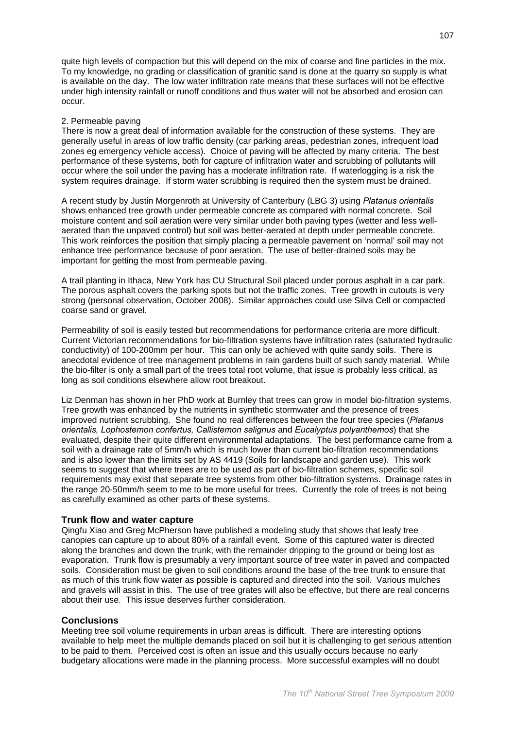quite high levels of compaction but this will depend on the mix of coarse and fine particles in the mix. To my knowledge, no grading or classification of granitic sand is done at the quarry so supply is what is available on the day. The low water infiltration rate means that these surfaces will not be effective under high intensity rainfall or runoff conditions and thus water will not be absorbed and erosion can occur.

### 2. Permeable paving

There is now a great deal of information available for the construction of these systems. They are generally useful in areas of low traffic density (car parking areas, pedestrian zones, infrequent load zones eg emergency vehicle access). Choice of paying will be affected by many criteria. The best performance of these systems, both for capture of infiltration water and scrubbing of pollutants will occur where the soil under the paving has a moderate infiltration rate. If waterlogging is a risk the system requires drainage. If storm water scrubbing is required then the system must be drained.

A recent study by Justin Morgenroth at University of Canterbury (LBG 3) using Platanus orientalis shows enhanced tree growth under permeable concrete as compared with normal concrete. Soil moisture content and soil aeration were very similar under both paving types (wetter and less wellaerated than the unpaved control) but soil was better-aerated at depth under permeable concrete. This work reinforces the position that simply placing a permeable payement on 'normal' soil may not enhance tree performance because of poor aeration. The use of better-drained soils may be important for getting the most from permeable paving.

A trail planting in Ithaca, New York has CU Structural Soil placed under porous asphalt in a car park. The porous asphalt covers the parking spots but not the traffic zones. Tree growth in cutouts is very strong (personal observation, October 2008). Similar approaches could use Silva Cell or compacted coarse sand or gravel.

Permeability of soil is easily tested but recommendations for performance criteria are more difficult. Current Victorian recommendations for bio-filtration systems have infiltration rates (saturated hydraulic conductivity) of 100-200mm per hour. This can only be achieved with quite sandy soils. There is anecdotal evidence of tree management problems in rain gardens built of such sandy material. While the bio-filter is only a small part of the trees total root volume, that issue is probably less critical, as long as soil conditions elsewhere allow root breakout.

Liz Denman has shown in her PhD work at Burnley that trees can grow in model bio-filtration systems. Tree growth was enhanced by the nutrients in synthetic stormwater and the presence of trees improved nutrient scrubbing. She found no real differences between the four tree species (Platanus orientalis, Lophostemon confertus, Callistemon salignus and Eucalyptus polyanthemos) that she evaluated, despite their quite different environmental adaptations. The best performance came from a soil with a drainage rate of 5mm/h which is much lower than current bio-filtration recommendations and is also lower than the limits set by AS 4419 (Soils for landscape and garden use). This work seems to suggest that where trees are to be used as part of bio-filtration schemes, specific soil requirements may exist that separate tree systems from other bio-filtration systems. Drainage rates in the range 20-50mm/h seem to me to be more useful for trees. Currently the role of trees is not being as carefully examined as other parts of these systems.

## Trunk flow and water capture

Qingfu Xiao and Greg McPherson have published a modeling study that shows that leafy tree canopies can capture up to about 80% of a rainfall event. Some of this captured water is directed along the branches and down the trunk, with the remainder dripping to the ground or being lost as evaporation. Trunk flow is presumably a very important source of tree water in paved and compacted soils. Consideration must be given to soil conditions around the base of the tree trunk to ensure that as much of this trunk flow water as possible is captured and directed into the soil. Various mulches and gravels will assist in this. The use of tree grates will also be effective, but there are real concerns about their use. This issue deserves further consideration.

## **Conclusions**

Meeting tree soil volume requirements in urban areas is difficult. There are interesting options available to help meet the multiple demands placed on soil but it is challenging to get serious attention to be paid to them. Perceived cost is often an issue and this usually occurs because no early budgetary allocations were made in the planning process. More successful examples will no doubt